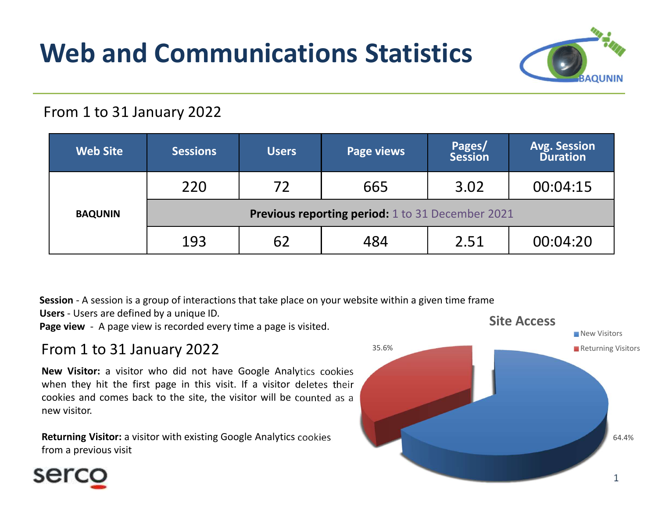# Web and Communications Statistics



#### From 1 to 31 January 2022

| <b>Avg. Session</b><br>Pages/<br><b>Web Site</b><br><b>Sessions</b><br><b>Page views</b><br><b>Users</b><br><b>Duration</b><br><b>Session</b><br>220<br>72<br>665<br>00:04:15<br>3.02<br><b>Previous reporting period:</b> 1 to 31 December 2021<br><b>BAQUNIN</b><br>193<br>62<br>2.51<br>00:04:20<br>484 |  |
|------------------------------------------------------------------------------------------------------------------------------------------------------------------------------------------------------------------------------------------------------------------------------------------------------------|--|
|                                                                                                                                                                                                                                                                                                            |  |
|                                                                                                                                                                                                                                                                                                            |  |
|                                                                                                                                                                                                                                                                                                            |  |
|                                                                                                                                                                                                                                                                                                            |  |
| Session - A session is a group of interactions that take place on your website within a given time frame<br>Users - Users are defined by a unique ID.<br><b>Site Access</b><br>Page view - A page view is recorded every time a page is visited.<br>From 1 to 31 January 2022<br>35.6%                     |  |

### From 1 to 31 January 2022

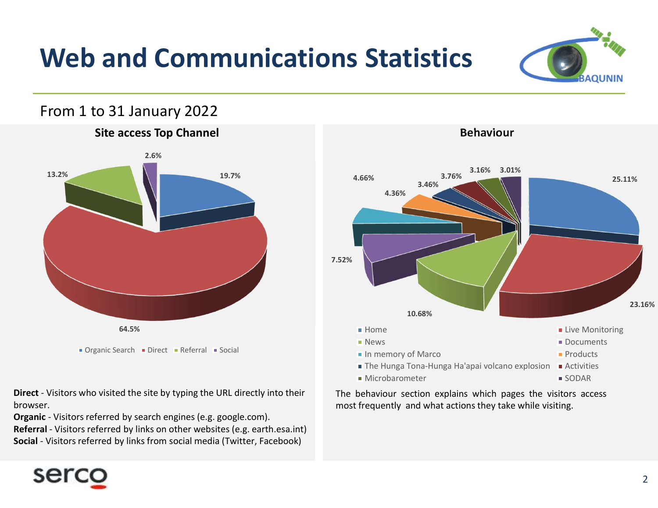## Web and Communications Statistics



#### From 1 to 31 January 2022



browser.



Behaviour